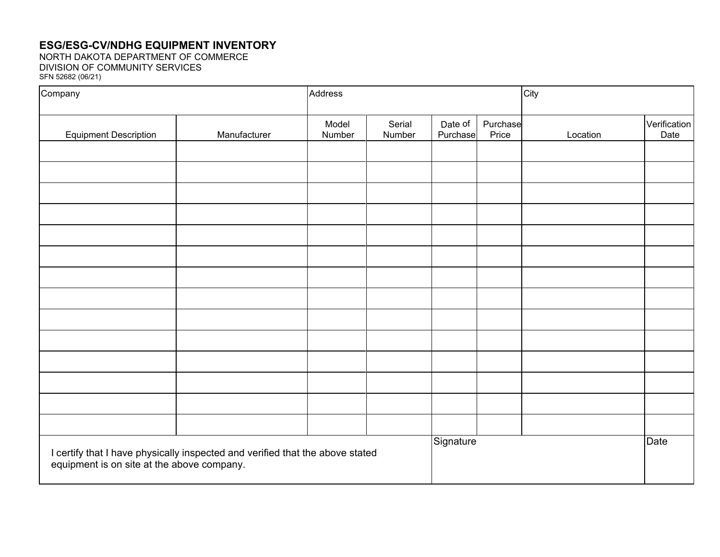## **ESG/ESG-CV/NDHG EQUIPMENT INVENTORY**

NORTH DAKOTA DEPARTMENT OF COMMERCE DIVISION OF COMMUNITY SERVICES SFN 52682 (06/21)

| Company                                                                                                                     |              | Address         |                  |                     |                   | City     |                      |
|-----------------------------------------------------------------------------------------------------------------------------|--------------|-----------------|------------------|---------------------|-------------------|----------|----------------------|
| <b>Equipment Description</b>                                                                                                | Manufacturer | Model<br>Number | Serial<br>Number | Date of<br>Purchase | Purchase<br>Price | Location | Verification<br>Date |
|                                                                                                                             |              |                 |                  |                     |                   |          |                      |
|                                                                                                                             |              |                 |                  |                     |                   |          |                      |
|                                                                                                                             |              |                 |                  |                     |                   |          |                      |
|                                                                                                                             |              |                 |                  |                     |                   |          |                      |
|                                                                                                                             |              |                 |                  |                     |                   |          |                      |
|                                                                                                                             |              |                 |                  |                     |                   |          |                      |
|                                                                                                                             |              |                 |                  |                     |                   |          |                      |
|                                                                                                                             |              |                 |                  |                     |                   |          |                      |
|                                                                                                                             |              |                 |                  |                     |                   |          |                      |
|                                                                                                                             |              |                 |                  |                     |                   |          |                      |
|                                                                                                                             |              |                 |                  |                     |                   |          |                      |
|                                                                                                                             |              |                 |                  |                     |                   |          |                      |
|                                                                                                                             |              |                 |                  |                     |                   |          |                      |
|                                                                                                                             |              |                 |                  |                     |                   |          |                      |
| I certify that I have physically inspected and verified that the above stated<br>equipment is on site at the above company. |              |                 | Signature        |                     |                   | Date     |                      |